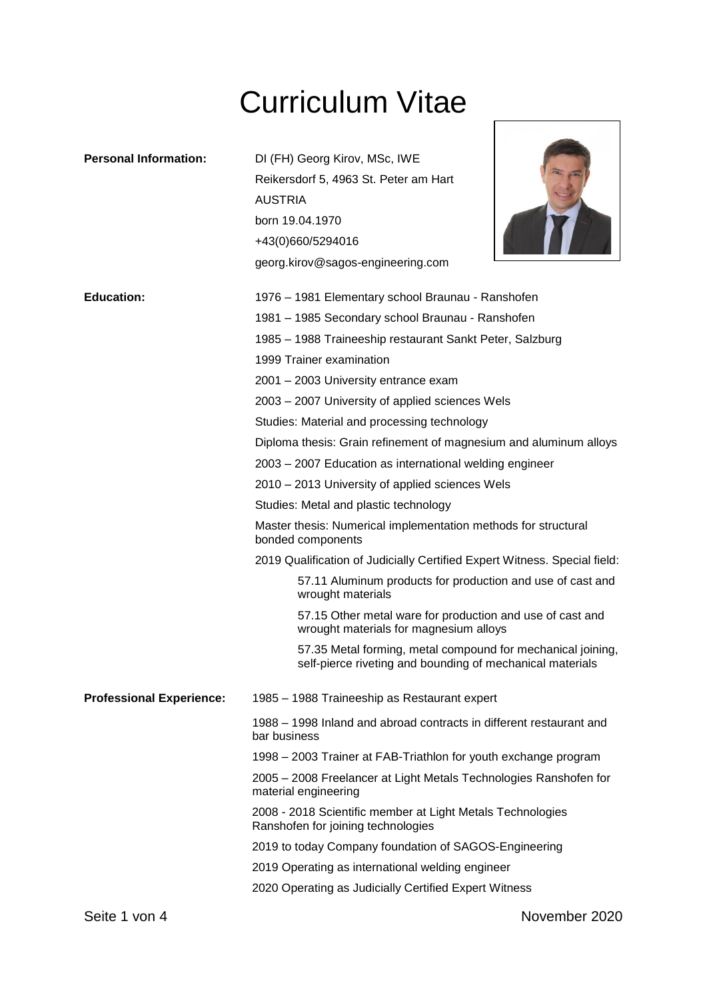# Curriculum Vitae

| <b>Personal Information:</b>    | DI (FH) Georg Kirov, MSc, IWE<br>Reikersdorf 5, 4963 St. Peter am Hart                                                                                                                                                                                                            |
|---------------------------------|-----------------------------------------------------------------------------------------------------------------------------------------------------------------------------------------------------------------------------------------------------------------------------------|
|                                 | <b>AUSTRIA</b><br>born 19.04.1970<br>+43(0)660/5294016<br>georg.kirov@sagos-engineering.com                                                                                                                                                                                       |
| <b>Education:</b>               | 1976 – 1981 Elementary school Braunau - Ranshofen<br>1981 - 1985 Secondary school Braunau - Ranshofen<br>1985 - 1988 Traineeship restaurant Sankt Peter, Salzburg<br>1999 Trainer examination<br>2001 - 2003 University entrance exam                                             |
|                                 | 2003 - 2007 University of applied sciences Wels<br>Studies: Material and processing technology<br>Diploma thesis: Grain refinement of magnesium and aluminum alloys<br>2003 - 2007 Education as international welding engineer<br>2010 - 2013 University of applied sciences Wels |
|                                 | Studies: Metal and plastic technology<br>Master thesis: Numerical implementation methods for structural<br>bonded components                                                                                                                                                      |
|                                 | 2019 Qualification of Judicially Certified Expert Witness. Special field:<br>57.11 Aluminum products for production and use of cast and<br>wrought materials<br>57.15 Other metal ware for production and use of cast and                                                         |
|                                 | wrought materials for magnesium alloys<br>57.35 Metal forming, metal compound for mechanical joining,<br>self-pierce riveting and bounding of mechanical materials                                                                                                                |
| <b>Professional Experience:</b> | 1985 – 1988 Traineeship as Restaurant expert                                                                                                                                                                                                                                      |
|                                 | 1988 – 1998 Inland and abroad contracts in different restaurant and<br>bar business                                                                                                                                                                                               |
|                                 | 1998 – 2003 Trainer at FAB-Triathlon for youth exchange program                                                                                                                                                                                                                   |
|                                 | 2005 – 2008 Freelancer at Light Metals Technologies Ranshofen for<br>material engineering                                                                                                                                                                                         |
|                                 | 2008 - 2018 Scientific member at Light Metals Technologies<br>Ranshofen for joining technologies                                                                                                                                                                                  |
|                                 | 2019 to today Company foundation of SAGOS-Engineering                                                                                                                                                                                                                             |
|                                 | 2019 Operating as international welding engineer                                                                                                                                                                                                                                  |
|                                 | 2020 Operating as Judicially Certified Expert Witness                                                                                                                                                                                                                             |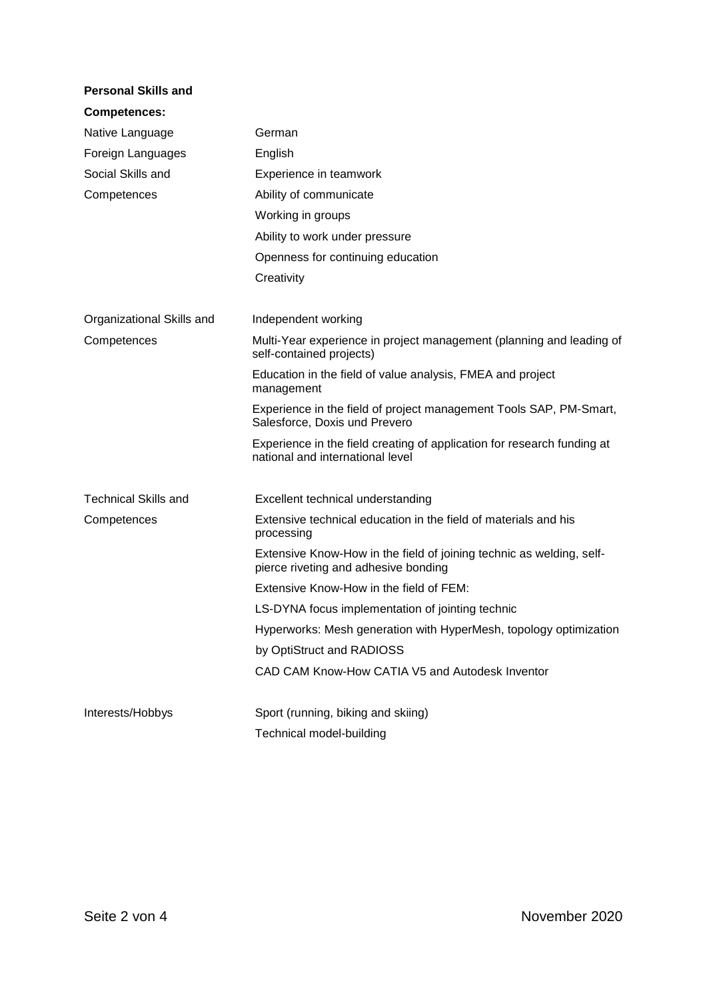| <b>Personal Skills and</b>  |                                                                                                              |
|-----------------------------|--------------------------------------------------------------------------------------------------------------|
| <b>Competences:</b>         |                                                                                                              |
| Native Language             | German                                                                                                       |
| Foreign Languages           | English                                                                                                      |
| Social Skills and           | Experience in teamwork                                                                                       |
| Competences                 | Ability of communicate                                                                                       |
|                             | Working in groups                                                                                            |
|                             | Ability to work under pressure                                                                               |
|                             | Openness for continuing education                                                                            |
|                             | Creativity                                                                                                   |
| Organizational Skills and   | Independent working                                                                                          |
| Competences                 | Multi-Year experience in project management (planning and leading of<br>self-contained projects)             |
|                             | Education in the field of value analysis, FMEA and project<br>management                                     |
|                             | Experience in the field of project management Tools SAP, PM-Smart,<br>Salesforce, Doxis und Prevero          |
|                             | Experience in the field creating of application for research funding at<br>national and international level  |
| <b>Technical Skills and</b> | Excellent technical understanding                                                                            |
| Competences                 | Extensive technical education in the field of materials and his<br>processing                                |
|                             | Extensive Know-How in the field of joining technic as welding, self-<br>pierce riveting and adhesive bonding |
|                             | Extensive Know-How in the field of FEM:                                                                      |
|                             | LS-DYNA focus implementation of jointing technic                                                             |
|                             | Hyperworks: Mesh generation with HyperMesh, topology optimization                                            |
|                             | by OptiStruct and RADIOSS                                                                                    |
|                             | CAD CAM Know-How CATIA V5 and Autodesk Inventor                                                              |
| Interests/Hobbys            | Sport (running, biking and skiing)                                                                           |
|                             | Technical model-building                                                                                     |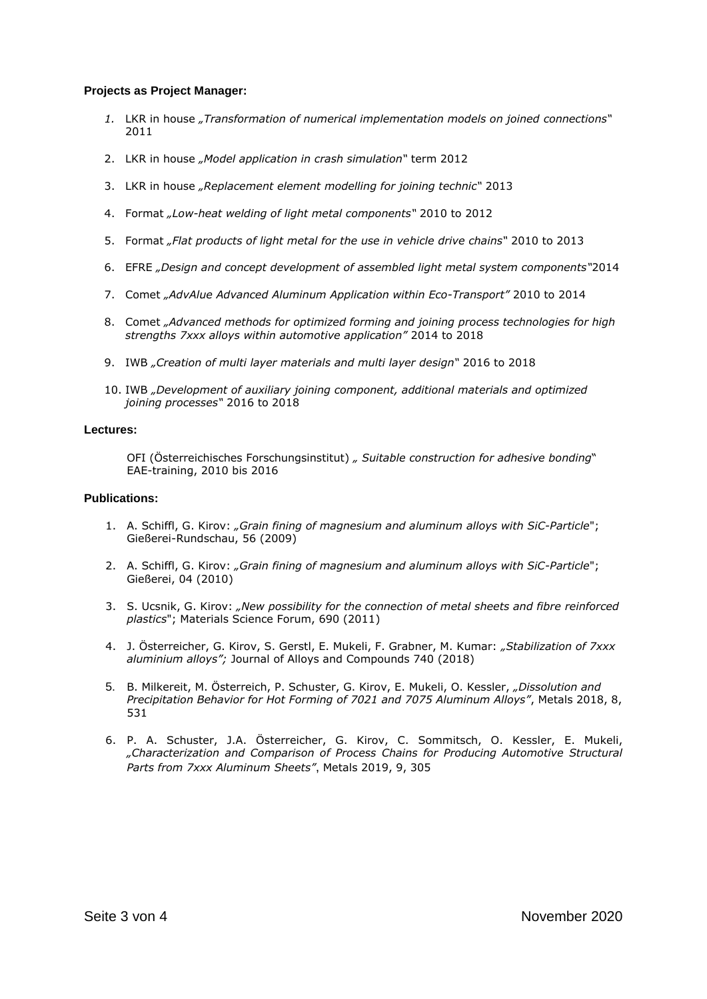#### **Projects as Project Manager:**

- *1.* LKR in house *"Transformation of numerical implementation models on joined connections"* 2011
- 2. LKR in house *"Model application in crash simulation"* term 2012
- 3. LKR in house *"Replacement element modelling for joining technic"* 2013
- 4. Format *"Low-heat welding of light metal components"* 2010 to 2012
- 5. Format *"Flat products of light metal for the use in vehicle drive chains"* 2010 to 2013
- 6. EFRE *"Design and concept development of assembled light metal system components"*2014
- 7. Comet *"AdvAlue Advanced Aluminum Application within Eco-Transport"* 2010 to 2014
- 8. Comet *"Advanced methods for optimized forming and joining process technologies for high strengths 7xxx alloys within automotive application"* 2014 to 2018
- 9. IWB *"Creation of multi layer materials and multi layer design"* 2016 to 2018
- 10. IWB *"Development of auxiliary joining component, additional materials and optimized joining processes"* 2016 to 2018

#### **Lectures:**

OFI (Österreichisches Forschungsinstitut) *" Suitable construction for adhesive bonding*" EAE-training, 2010 bis 2016

#### **Publications:**

- 1. A. Schiffl, G. Kirov: *"Grain fining of magnesium and aluminum alloys with SiC-Particle*"; Gießerei-Rundschau, 56 (2009)
- 2. A. Schiffl, G. Kirov: *"Grain fining of magnesium and aluminum alloys with SiC-Particle*"; Gießerei, 04 (2010)
- 3. S. Ucsnik, G. Kirov: *"New possibility for the connection of metal sheets and fibre reinforced plastics*"; Materials Science Forum, 690 (2011)
- 4. J. Österreicher, G. Kirov, S. Gerstl, E. Mukeli, F. Grabner, M. Kumar: *"Stabilization of 7xxx aluminium alloys";* Journal of Alloys and Compounds 740 (2018)
- 5. B. Milkereit, M. Österreich, P. Schuster, G. Kirov, E. Mukeli, O. Kessler, *"Dissolution and Precipitation Behavior for Hot Forming of 7021 and 7075 Aluminum Alloys"*, Metals 2018, 8, 531
- 6. P. A. Schuster, J.A. Österreicher, G. Kirov, C. Sommitsch, O. Kessler, E. Mukeli, *"Characterization and Comparison of Process Chains for Producing Automotive Structural Parts from 7xxx Aluminum Sheets"*, Metals 2019, 9, 305